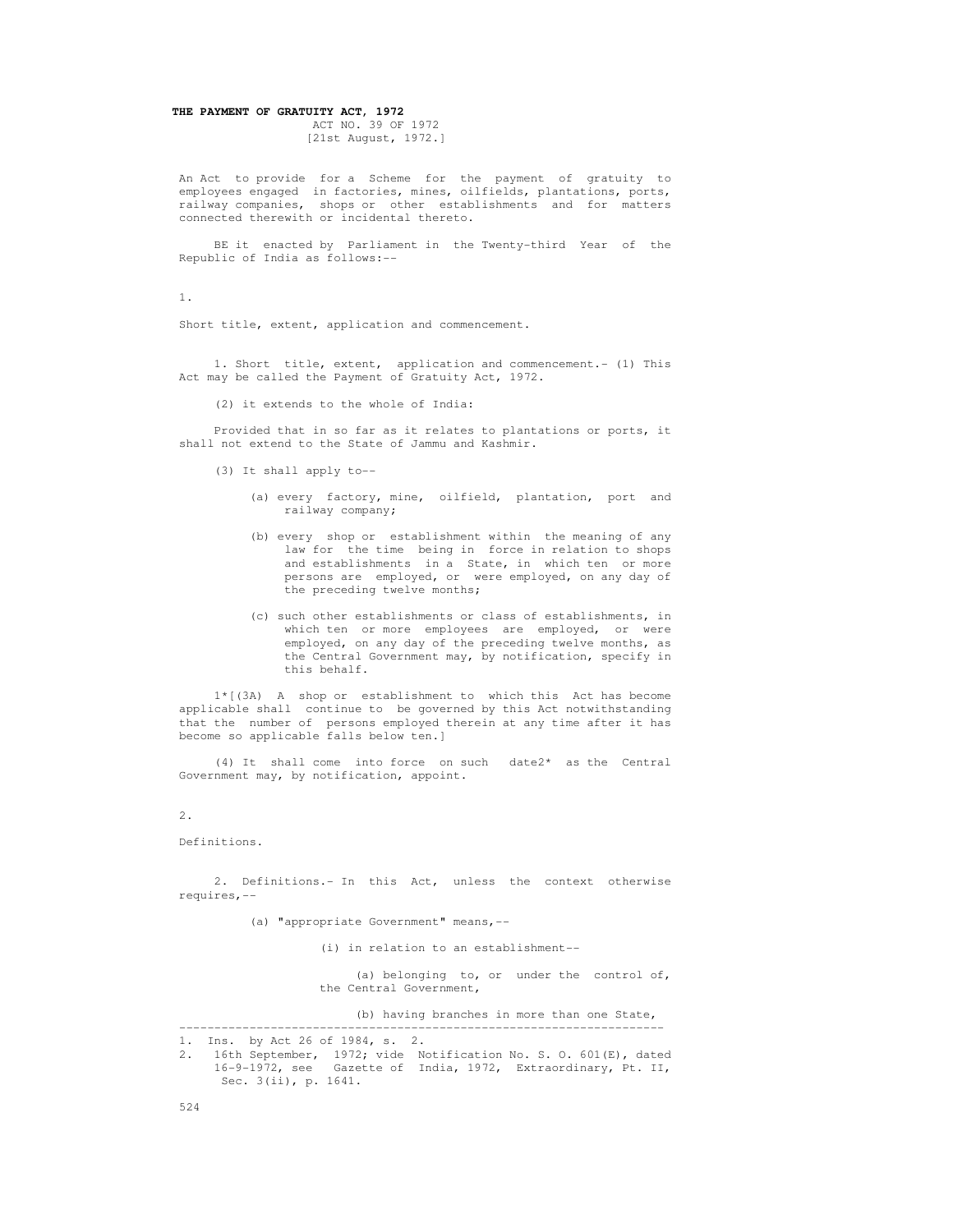# **THE PAYMENT OF GRATUITY ACT, 1972**

 ACT NO. 39 OF 1972 [21st August, 1972.]

 An Act to provide for a Scheme for the payment of gratuity to employees engaged in factories, mines, oilfields, plantations, ports, railway companies, shops or other establishments and for matters connected therewith or incidental thereto.

 BE it enacted by Parliament in the Twenty-third Year of the Republic of India as follows:--

1.

Short title, extent, application and commencement.

 1. Short title, extent, application and commencement.- (1) This Act may be called the Payment of Gratuity Act, 1972.

(2) it extends to the whole of India:

 Provided that in so far as it relates to plantations or ports, it shall not extend to the State of Jammu and Kashmir.

- (3) It shall apply to--
	- (a) every factory, mine, oilfield, plantation, port and railway company;
	- (b) every shop or establishment within the meaning of any law for the time being in force in relation to shops and establishments in a State, in which ten or more persons are employed, or were employed, on any day of the preceding twelve months;
	- (c) such other establishments or class of establishments, in which ten or more employees are employed, or were employed, on any day of the preceding twelve months, as the Central Government may, by notification, specify in this behalf.

 1\*[(3A) A shop or establishment to which this Act has become applicable shall continue to be governed by this Act notwithstanding that the number of persons employed therein at any time after it has become so applicable falls below ten.]

 (4) It shall come into force on such date2\* as the Central Government may, by notification, appoint.

2.

Definitions.

 2. Definitions.- In this Act, unless the context otherwise requires,--

(a) "appropriate Government" means,--

(i) in relation to an establishment--

 (a) belonging to, or under the control of, the Central Government,

(b) having branches in more than one State,

---------------------------------------------------------------------

 <sup>1.</sup> Ins. by Act 26 of 1984, s. 2.

 <sup>2. 16</sup>th September, 1972; vide Notification No. S. O. 601(E), dated 16-9-1972, see Gazette of India, 1972, Extraordinary, Pt. II, Sec. 3(ii), p. 1641.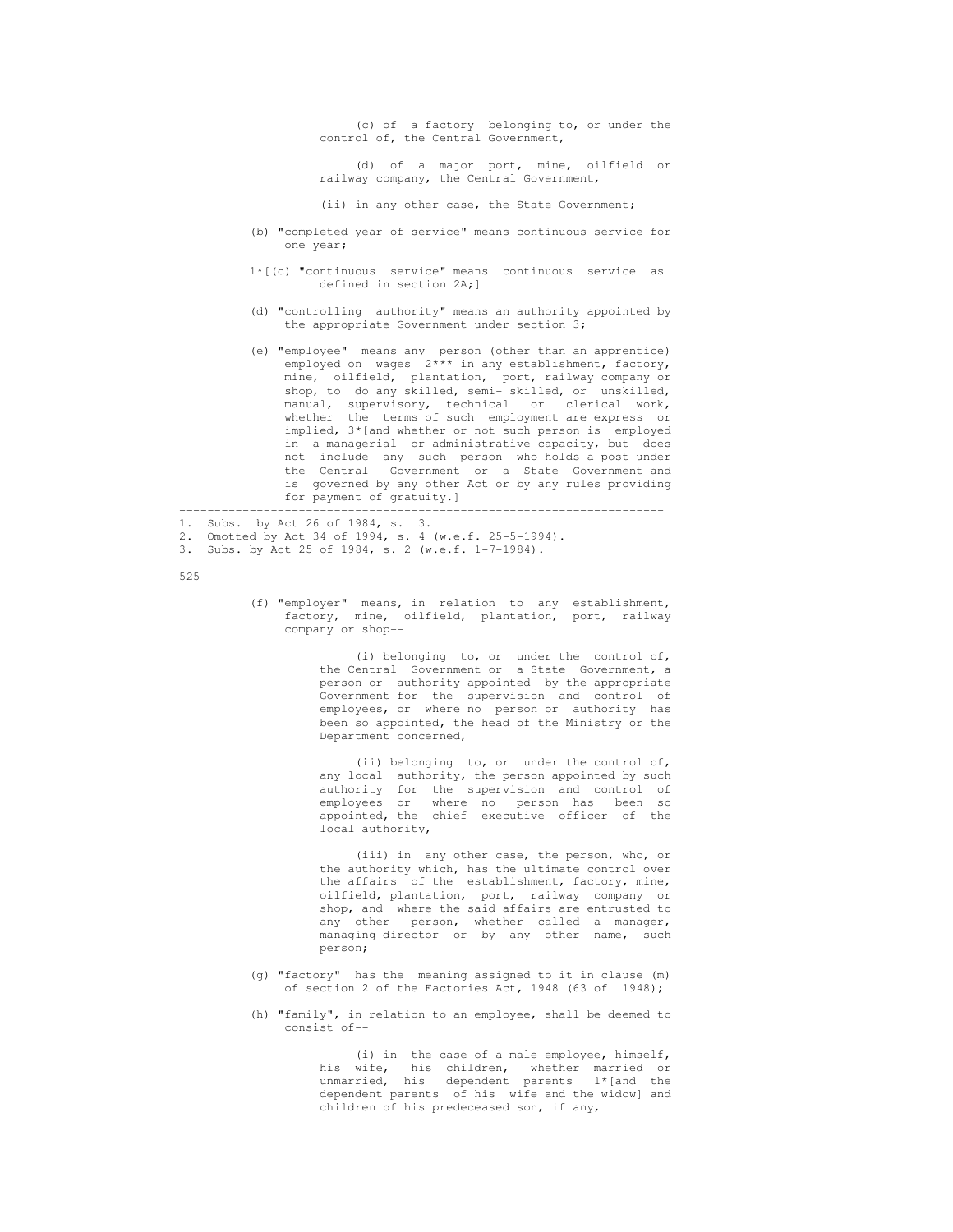(c) of a factory belonging to, or under the control of, the Central Government,

 (d) of a major port, mine, oilfield or railway company, the Central Government,

(ii) in any other case, the State Government;

- (b) "completed year of service" means continuous service for one year;
- 1\*[(c) "continuous service" means continuous service as defined in section 2A;]
- (d) "controlling authority" means an authority appointed by the appropriate Government under section 3;
- (e) "employee" means any person (other than an apprentice) employed on wages 2\*\*\* in any establishment, factory, mine, oilfield, plantation, port, railway company or shop, to do any skilled, semi- skilled, or unskilled, manual, supervisory, technical or clerical work, whether the terms of such employment are express or implied, 3\*[and whether or not such person is employed in a managerial or administrative capacity, but does not include any such person who holds a post under the Central Government or a State Government and is governed by any other Act or by any rules providing for payment of gratuity.]

---------------------------------------------------------------------

1. Subs. by Act 26 of 1984, s. 3.

- 2. Omotted by Act 34 of 1994, s. 4 (w.e.f. 25-5-1994).
- 3. Subs. by Act 25 of 1984, s. 2 (w.e.f. 1-7-1984).

525

 (f) "employer" means, in relation to any establishment, factory, mine, oilfield, plantation, port, railway company or shop--

> (i) belonging to, or under the control of, the Central Government or a State Government, a person or authority appointed by the appropriate Government for the supervision and control of employees, or where no person or authority has been so appointed, the head of the Ministry or the Department concerned,

> (ii) belonging to, or under the control of, any local authority, the person appointed by such authority for the supervision and control of employees or where no person has been so appointed, the chief executive officer of the local authority,

 (iii) in any other case, the person, who, or the authority which, has the ultimate control over the affairs of the establishment, factory, mine, oilfield, plantation, port, railway company or shop, and where the said affairs are entrusted to any other person, whether called a manager, managing director or by any other name, such person;

- (g) "factory" has the meaning assigned to it in clause (m) of section 2 of the Factories Act, 1948 (63 of 1948);
- (h) "family", in relation to an employee, shall be deemed to consist of--

(i) in the case of a male employee, himself,<br>his wife, his children, whether married or his children, whether married or unmarried, his dependent parents 1\*[and the dependent parents of his wife and the widow] and children of his predeceased son, if any,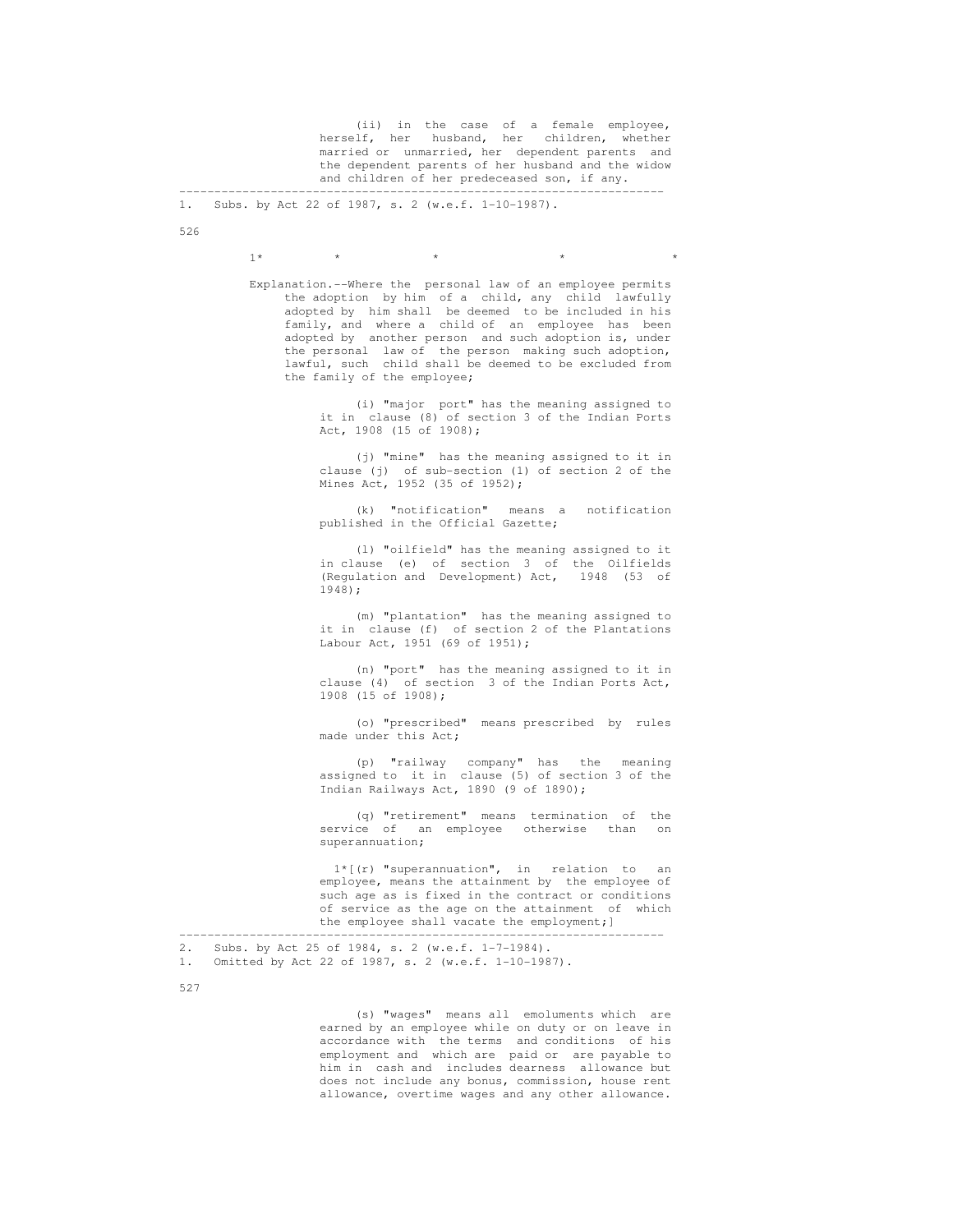(ii) in the case of a female employee, herself, her husband, her children, whether married or unmarried, her dependent parents and the dependent parents of her husband and the widow and children of her predeceased son, if any. ---------------------------------------------------------------------

1. Subs. by Act 22 of 1987, s. 2 (w.e.f. 1-10-1987).

526

 $1*$  \* \* \* \* \* \* \* \* \*

 Explanation.--Where the personal law of an employee permits the adoption by him of a child, any child lawfully adopted by him shall be deemed to be included in his family, and where a child of an employee has been adopted by another person and such adoption is, under the personal law of the person making such adoption, lawful, such child shall be deemed to be excluded from the family of the employee;

> (i) "major port" has the meaning assigned to it in clause (8) of section 3 of the Indian Ports Act, 1908 (15 of 1908);

> (j) "mine" has the meaning assigned to it in clause (j) of sub-section (1) of section 2 of the Mines Act, 1952 (35 of 1952);

> (k) "notification" means a notification published in the Official Gazette;

> (l) "oilfield" has the meaning assigned to it in clause (e) of section 3 of the Oilfields (Regulation and Development) Act, 1948 (53 of 1948);

> (m) "plantation" has the meaning assigned to it in clause (f) of section 2 of the Plantations Labour Act, 1951 (69 of 1951);

 (n) "port" has the meaning assigned to it in clause (4) of section 3 of the Indian Ports Act, 1908 (15 of 1908);

> (o) "prescribed" means prescribed by rules made under this Act;

 (p) "railway company" has the meaning assigned to it in clause (5) of section 3 of the Indian Railways Act, 1890 (9 of 1890);

> (q) "retirement" means termination of the service of an employee otherwise than on superannuation;

> 1\*[(r) "superannuation", in relation to an employee, means the attainment by the employee of such age as is fixed in the contract or conditions of service as the age on the attainment of which the employee shall vacate the employment;]

---------------------------------------------------------------------

2. Subs. by Act 25 of 1984, s. 2 (w.e.f. 1-7-1984).<br>1. Omitted by Act 22 of 1987, s. 2 (w.e.f. 1-10-198

Omitted by Act 22 of 1987, s. 2 (w.e.f. 1-10-1987).

527

 (s) "wages" means all emoluments which are earned by an employee while on duty or on leave in accordance with the terms and conditions of his employment and which are paid or are payable to him in cash and includes dearness allowance but does not include any bonus, commission, house rent allowance, overtime wages and any other allowance.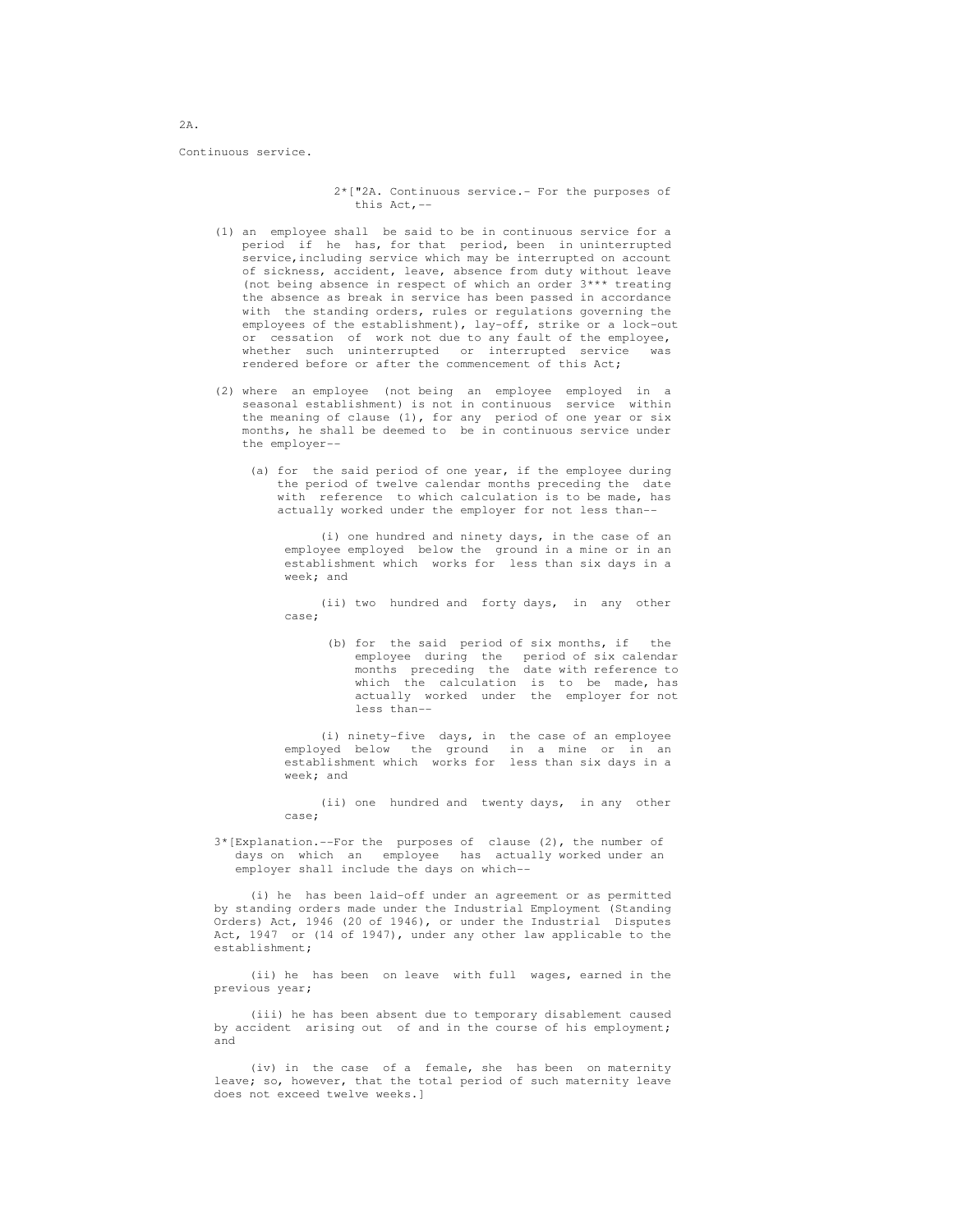Continuous service.

 2\*["2A. Continuous service.- For the purposes of this Act,--

- (1) an employee shall be said to be in continuous service for a period if he has, for that period, been in uninterrupted service,including service which may be interrupted on account of sickness, accident, leave, absence from duty without leave (not being absence in respect of which an order 3\*\*\* treating the absence as break in service has been passed in accordance with the standing orders, rules or regulations governing the employees of the establishment), lay-off, strike or a lock-out or cessation of work not due to any fault of the employee, whether such uninterrupted or interrupted service was rendered before or after the commencement of this Act;
	- (2) where an employee (not being an employee employed in a seasonal establishment) is not in continuous service within the meaning of clause (1), for any period of one year or six months, he shall be deemed to be in continuous service under the employer--
		- (a) for the said period of one year, if the employee during the period of twelve calendar months preceding the date with reference to which calculation is to be made, has actually worked under the employer for not less than--

 (i) one hundred and ninety days, in the case of an employee employed below the ground in a mine or in an establishment which works for less than six days in a week; and

 (ii) two hundred and forty days, in any other case;

 (b) for the said period of six months, if the employee during the period of six calendar months preceding the date with reference to which the calculation is to be made, has actually worked under the employer for not less than--

 (i) ninety-five days, in the case of an employee employed below the ground in a mine or in an establishment which works for less than six days in a week; and

> (ii) one hundred and twenty days, in any other case;

 3\*[Explanation.--For the purposes of clause (2), the number of days on which an employee has actually worked under an employer shall include the days on which--

 (i) he has been laid-off under an agreement or as permitted by standing orders made under the Industrial Employment (Standing Orders) Act, 1946 (20 of 1946), or under the Industrial Disputes Act, 1947 or (14 of 1947), under any other law applicable to the establishment;

 (ii) he has been on leave with full wages, earned in the previous year;

 (iii) he has been absent due to temporary disablement caused by accident arising out of and in the course of his employment; and

 (iv) in the case of a female, she has been on maternity leave; so, however, that the total period of such maternity leave does not exceed twelve weeks.]

2A.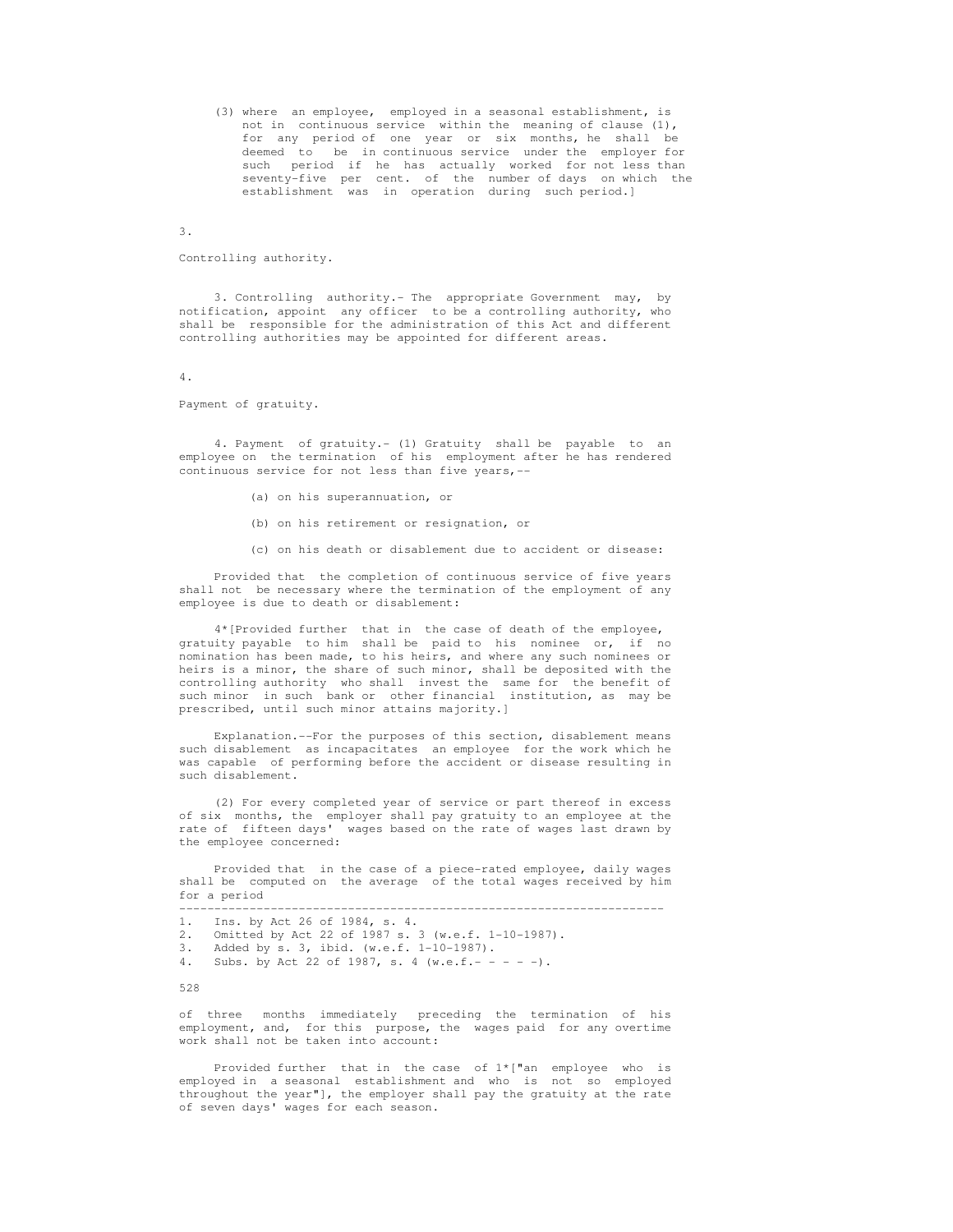(3) where an employee, employed in a seasonal establishment, is not in continuous service within the meaning of clause (1), for any period of one year or six months, he shall be deemed to be in continuous service under the employer for such period if he has actually worked for not less than seventy-five per cent. of the number of days on which the establishment was in operation during such period.]

3.

Controlling authority.

 3. Controlling authority.- The appropriate Government may, by notification, appoint any officer to be a controlling authority, who shall be responsible for the administration of this Act and different controlling authorities may be appointed for different areas.

4.

### Payment of gratuity.

 4. Payment of gratuity.- (1) Gratuity shall be payable to an employee on the termination of his employment after he has rendered continuous service for not less than five years,--

- (a) on his superannuation, or
- (b) on his retirement or resignation, or
- (c) on his death or disablement due to accident or disease:

 Provided that the completion of continuous service of five years shall not be necessary where the termination of the employment of any employee is due to death or disablement:

 4\*[Provided further that in the case of death of the employee, gratuity payable to him shall be paid to his nominee or, if no nomination has been made, to his heirs, and where any such nominees or heirs is a minor, the share of such minor, shall be deposited with the controlling authority who shall invest the same for the benefit of such minor in such bank or other financial institution, as may be prescribed, until such minor attains majority.]

 Explanation.--For the purposes of this section, disablement means such disablement as incapacitates an employee for the work which he was capable of performing before the accident or disease resulting in such disablement.

 (2) For every completed year of service or part thereof in excess of six months, the employer shall pay gratuity to an employee at the rate of fifteen days' wages based on the rate of wages last drawn by the employee concerned:

 Provided that in the case of a piece-rated employee, daily wages shall be computed on the average of the total wages received by him for a period

 --------------------------------------------------------------------- 1. Ins. by Act 26 of 1984, s. 4.

- 2. Omitted by Act 22 of 1987 s. 3 (w.e.f. 1-10-1987).
- 3. Added by s. 3, ibid. (w.e.f.  $1-10-1987$ ).<br>4. Subs. by Act 22 of 1987, s. 4 (w.e.f.--
- Subs. by Act 22 of 1987, s. 4 (w.e.f.- - -).

528

 of three months immediately preceding the termination of his employment, and, for this purpose, the wages paid for any overtime work shall not be taken into account:

 Provided further that in the case of 1\*["an employee who is employed in a seasonal establishment and who is not so employed throughout the year"], the employer shall pay the gratuity at the rate of seven days' wages for each season.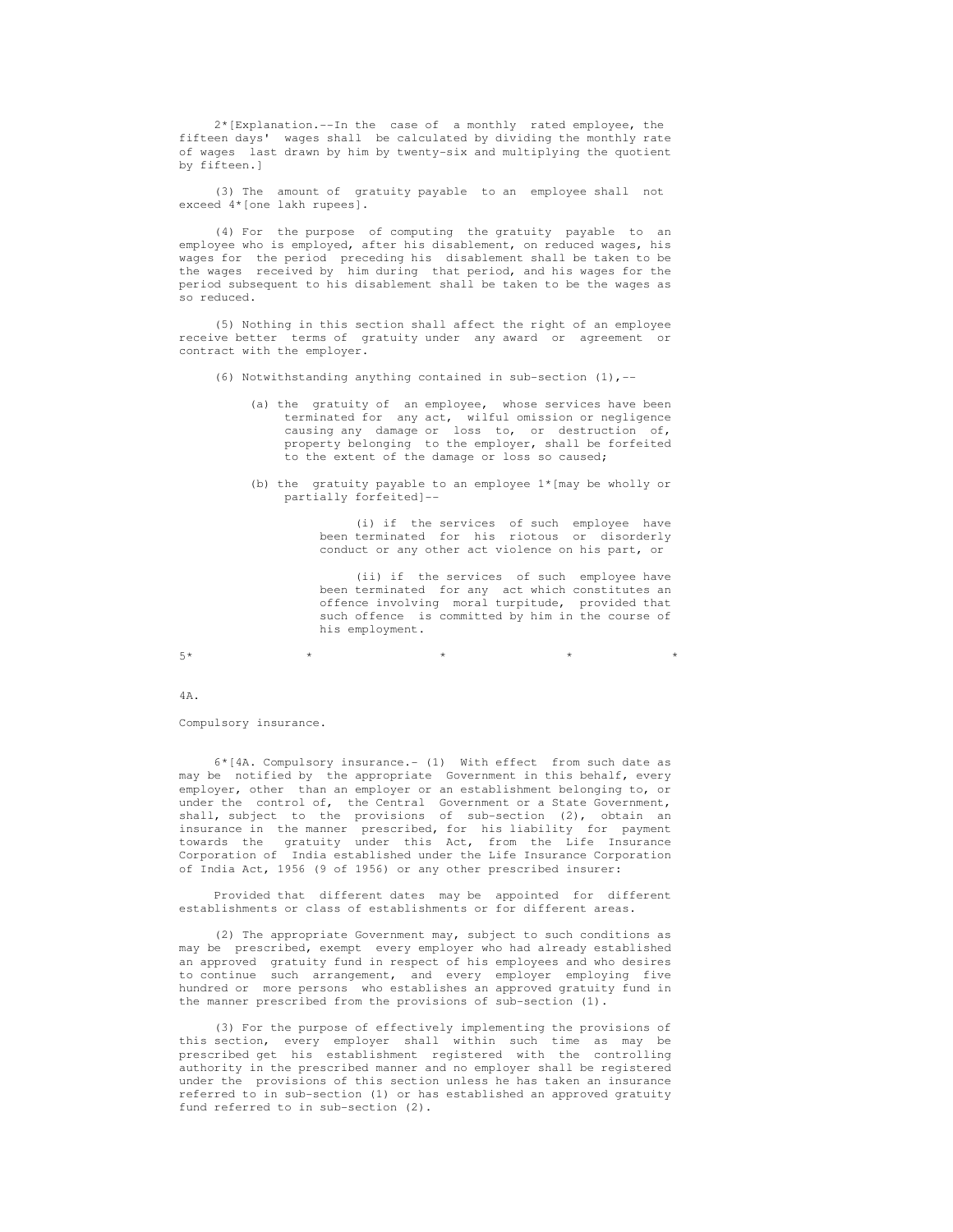2\*[Explanation.--In the case of a monthly rated employee, the fifteen days' wages shall be calculated by dividing the monthly rate of wages last drawn by him by twenty-six and multiplying the quotient by fifteen.]

 (3) The amount of gratuity payable to an employee shall not exceed 4\*[one lakh rupees].

 (4) For the purpose of computing the gratuity payable to an employee who is employed, after his disablement, on reduced wages, his wages for the period preceding his disablement shall be taken to be the wages received by him during that period, and his wages for the period subsequent to his disablement shall be taken to be the wages as so reduced.

 (5) Nothing in this section shall affect the right of an employee receive better terms of gratuity under any award or agreement or contract with the employer.

- (6) Notwithstanding anything contained in sub-section (1),--
	- (a) the gratuity of an employee, whose services have been terminated for any act, wilful omission or negligence causing any damage or loss to, or destruction of, property belonging to the employer, shall be forfeited to the extent of the damage or loss so caused;
	- (b) the gratuity payable to an employee 1\*[may be wholly or partially forfeited]--

 (i) if the services of such employee have been terminated for his riotous or disorderly conduct or any other act violence on his part, or

 (ii) if the services of such employee have been terminated for any act which constitutes an offence involving moral turpitude, provided that such offence is committed by him in the course of his employment.

 $5*$  \* \* \* \* \* \* \* \* \* \*

4A.

Compulsory insurance.

 6\*[4A. Compulsory insurance.- (1) With effect from such date as may be notified by the appropriate Government in this behalf, every employer, other than an employer or an establishment belonging to, or under the control of, the Central Government or a State Government, shall, subject to the provisions of sub-section (2), obtain an insurance in the manner prescribed, for his liability for payment towards the gratuity under this Act, from the Life Insurance Corporation of India established under the Life Insurance Corporation of India Act, 1956 (9 of 1956) or any other prescribed insurer:

 Provided that different dates may be appointed for different establishments or class of establishments or for different areas.

 (2) The appropriate Government may, subject to such conditions as may be prescribed, exempt every employer who had already established an approved gratuity fund in respect of his employees and who desires to continue such arrangement, and every employer employing five hundred or more persons who establishes an approved gratuity fund in the manner prescribed from the provisions of sub-section (1).

 (3) For the purpose of effectively implementing the provisions of this section, every employer shall within such time as may be prescribed get his establishment registered with the controlling authority in the prescribed manner and no employer shall be registered under the provisions of this section unless he has taken an insurance referred to in sub-section (1) or has established an approved gratuity fund referred to in sub-section (2).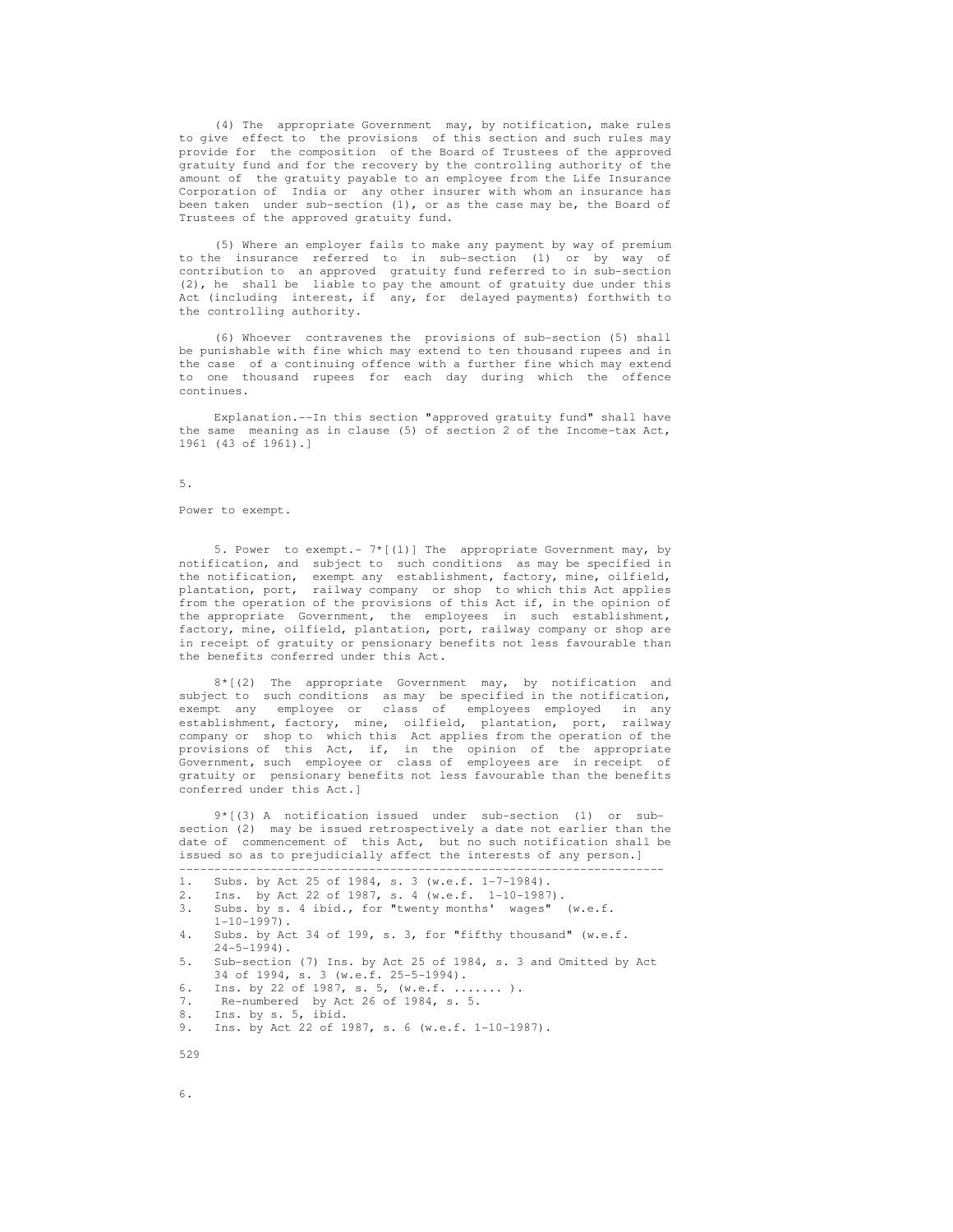(4) The appropriate Government may, by notification, make rules to give effect to the provisions of this section and such rules may provide for the composition of the Board of Trustees of the approved gratuity fund and for the recovery by the controlling authority of the amount of the gratuity payable to an employee from the Life Insurance Corporation of India or any other insurer with whom an insurance has been taken under sub-section (1), or as the case may be, the Board of Trustees of the approved gratuity fund.

 (5) Where an employer fails to make any payment by way of premium to the insurance referred to in sub-section (1) or by way of contribution to an approved gratuity fund referred to in sub-section (2), he shall be liable to pay the amount of gratuity due under this Act (including interest, if any, for delayed payments) forthwith to the controlling authority.

 (6) Whoever contravenes the provisions of sub-section (5) shall be punishable with fine which may extend to ten thousand rupees and in the case of a continuing offence with a further fine which may extend to one thousand rupees for each day during which the offence continues.

 Explanation.--In this section "approved gratuity fund" shall have the same meaning as in clause (5) of section 2 of the Income-tax Act, 1961 (43 of 1961).]

## 5.

Power to exempt.

 5. Power to exempt.- 7\*[(1)] The appropriate Government may, by notification, and subject to such conditions as may be specified in the notification, exempt any establishment, factory, mine, oilfield, plantation, port, railway company or shop to which this Act applies from the operation of the provisions of this Act if, in the opinion of the appropriate Government, the employees in such establishment, factory, mine, oilfield, plantation, port, railway company or shop are in receipt of gratuity or pensionary benefits not less favourable than the benefits conferred under this Act.

 8\*[(2) The appropriate Government may, by notification and subject to such conditions as may be specified in the notification, exempt any employee or class of employees employed in any establishment, factory, mine, oilfield, plantation, port, railway company or shop to which this Act applies from the operation of the provisions of this Act, if, in the opinion of the appropriate Government, such employee or class of employees are in receipt of gratuity or pensionary benefits not less favourable than the benefits conferred under this Act.]

 9\*[(3) A notification issued under sub-section (1) or sub section (2) may be issued retrospectively a date not earlier than the date of commencement of this Act, but no such notification shall be issued so as to prejudicially affect the interests of any person.] ---------------------------------------------------------------------

```
1. Subs. by Act 25 of 1984, s. 3 (w.e.f. 1-7-1984).<br>2. Ins. by Act 22 of 1987, s. 4 (w.e.f. 1-10-1987)
     Ins. by Act 22 of 1987, s. 4 (w.e.f. 1-10-1987).
 3. Subs. by s. 4 ibid., for "twenty months' wages" (w.e.f. 
     1-10-1997.
 4. Subs. by Act 34 of 199, s. 3, for "fifthy thousand" (w.e.f. 
24 - 5 - 1994).<br>5. Sub-section
      5. Sub-section (7) Ins. by Act 25 of 1984, s. 3 and Omitted by Act 
      34 of 1994, s. 3 (w.e.f. 25-5-1994). 
 6. Ins. by 22 of 1987, s. 5, (w.e.f. ....... ). 
 7. Re-numbered by Act 26 of 1984, s. 5. 
 8. Ins. by s. 5, ibid. 
 9. Ins. by Act 22 of 1987, s. 6 (w.e.f. 1-10-1987).
```
529

6.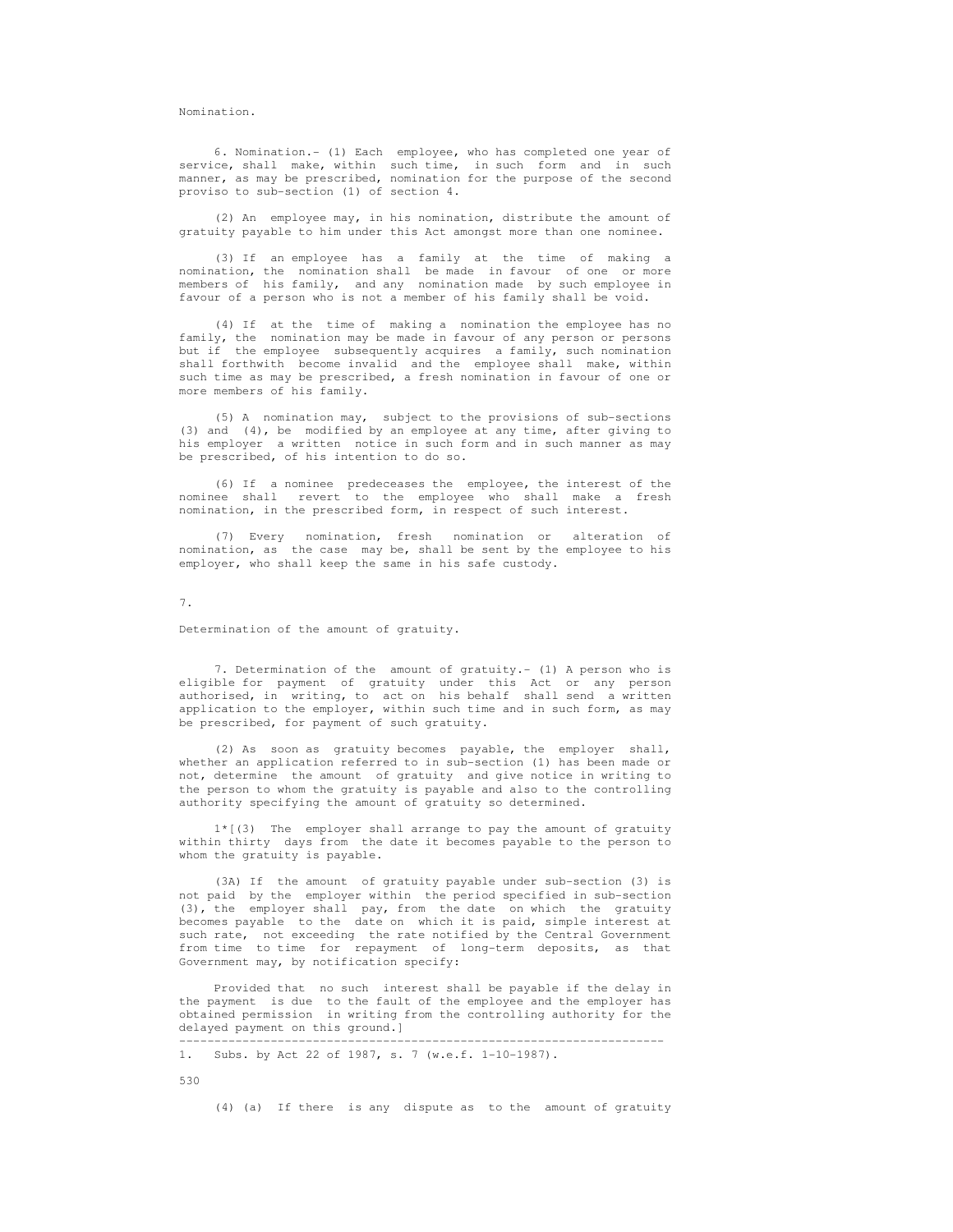Nomination.

 6. Nomination.- (1) Each employee, who has completed one year of service, shall make, within such time, in such form and in such manner, as may be prescribed, nomination for the purpose of the second proviso to sub-section (1) of section 4.

 (2) An employee may, in his nomination, distribute the amount of gratuity payable to him under this Act amongst more than one nominee.

 (3) If an employee has a family at the time of making a nomination, the nomination shall be made in favour of one or more members of his family, and any nomination made by such employee in favour of a person who is not a member of his family shall be void.

 (4) If at the time of making a nomination the employee has no family, the nomination may be made in favour of any person or persons but if the employee subsequently acquires a family, such nomination shall forthwith become invalid and the employee shall make, within such time as may be prescribed, a fresh nomination in favour of one or more members of his family.

 (5) A nomination may, subject to the provisions of sub-sections (3) and (4), be modified by an employee at any time, after giving to his employer a written notice in such form and in such manner as may be prescribed, of his intention to do so.

 (6) If a nominee predeceases the employee, the interest of the nominee shall revert to the employee who shall make a fresh nomination, in the prescribed form, in respect of such interest.

 (7) Every nomination, fresh nomination or alteration of nomination, as the case may be, shall be sent by the employee to his employer, who shall keep the same in his safe custody.

7.

Determination of the amount of gratuity.

7. Determination of the amount of gratuity.- (1) A person who is eligible for payment of gratuity under this Act or any person authorised, in writing, to act on his behalf shall send a written application to the employer, within such time and in such form, as may be prescribed, for payment of such gratuity.

 (2) As soon as gratuity becomes payable, the employer shall, whether an application referred to in sub-section (1) has been made or not, determine the amount of gratuity and give notice in writing to the person to whom the gratuity is payable and also to the controlling authority specifying the amount of gratuity so determined.

 1\*[(3) The employer shall arrange to pay the amount of gratuity within thirty days from the date it becomes payable to the person to whom the gratuity is payable.

 (3A) If the amount of gratuity payable under sub-section (3) is not paid by the employer within the period specified in sub-section (3), the employer shall pay, from the date on which the gratuity becomes payable to the date on which it is paid, simple interest at such rate, not exceeding the rate notified by the Central Government from time to time for repayment of long-term deposits, as that Government may, by notification specify:

 Provided that no such interest shall be payable if the delay in the payment is due to the fault of the employee and the employer has obtained permission in writing from the controlling authority for the delayed payment on this ground.] ---------------------------------------------------------------------

```
 1. Subs. by Act 22 of 1987, s. 7 (w.e.f. 1-10-1987).
```
530

(4) (a) If there is any dispute as to the amount of gratuity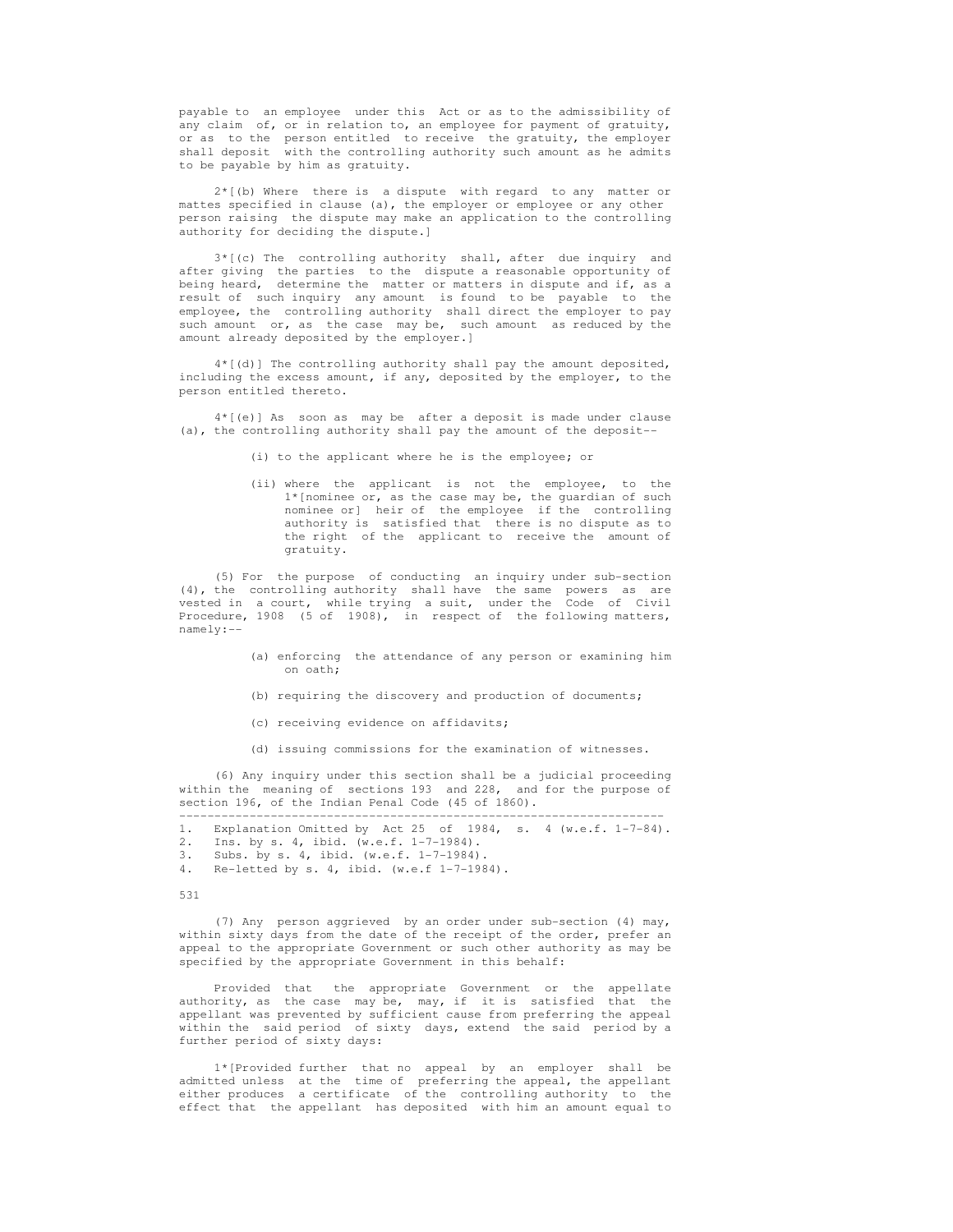payable to an employee under this Act or as to the admissibility of any claim of, or in relation to, an employee for payment of gratuity, or as to the person entitled to receive the gratuity, the employer shall deposit with the controlling authority such amount as he admits to be payable by him as gratuity.

 2\*[(b) Where there is a dispute with regard to any matter or mattes specified in clause (a), the employer or employee or any other person raising the dispute may make an application to the controlling authority for deciding the dispute.]

 3\*[(c) The controlling authority shall, after due inquiry and after giving the parties to the dispute a reasonable opportunity of being heard, determine the matter or matters in dispute and if, as a result of such inquiry any amount is found to be payable to the employee, the controlling authority shall direct the employer to pay such amount or, as the case may be, such amount as reduced by the amount already deposited by the employer.]

 4\*[(d)] The controlling authority shall pay the amount deposited, including the excess amount, if any, deposited by the employer, to the person entitled thereto.

 4\*[(e)] As soon as may be after a deposit is made under clause (a), the controlling authority shall pay the amount of the deposit--

(i) to the applicant where he is the employee; or

 (ii) where the applicant is not the employee, to the 1\*[nominee or, as the case may be, the guardian of such nominee or] heir of the employee if the controlling authority is satisfied that there is no dispute as to the right of the applicant to receive the amount of gratuity.

 (5) For the purpose of conducting an inquiry under sub-section (4), the controlling authority shall have the same powers as are vested in a court, while trying a suit, under the Code of Civil Procedure, 1908 (5 of 1908), in respect of the following matters, namely:--

- (a) enforcing the attendance of any person or examining him on oath;
- (b) requiring the discovery and production of documents;
- (c) receiving evidence on affidavits;
- (d) issuing commissions for the examination of witnesses.

 (6) Any inquiry under this section shall be a judicial proceeding within the meaning of sections 193 and 228, and for the purpose of section 196, of the Indian Penal Code (45 of 1860).

```
 --------------------------------------------------------------------- 
 1. Explanation Omitted by Act 25 of 1984, s. 4 (w.e.f. 1-7-84).
```
- 2. Ins. by s. 4, ibid. (w.e.f. 1-7-1984).<br>3. Subs. by s. 4, ibid. (w.e.f. 1-7-1984).
- 3. Subs. by s. 4, ibid. (w.e.f. 1-7-1984).
- 4. Re-letted by s. 4, ibid. (w.e.f 1-7-1984).

## 531

 (7) Any person aggrieved by an order under sub-section (4) may, within sixty days from the date of the receipt of the order, prefer an appeal to the appropriate Government or such other authority as may be specified by the appropriate Government in this behalf:

 Provided that the appropriate Government or the appellate authority, as the case may be, may, if it is satisfied that the appellant was prevented by sufficient cause from preferring the appeal within the said period of sixty days, extend the said period by a further period of sixty days:

 1\*[Provided further that no appeal by an employer shall be admitted unless at the time of preferring the appeal, the appellant either produces a certificate of the controlling authority to the effect that the appellant has deposited with him an amount equal to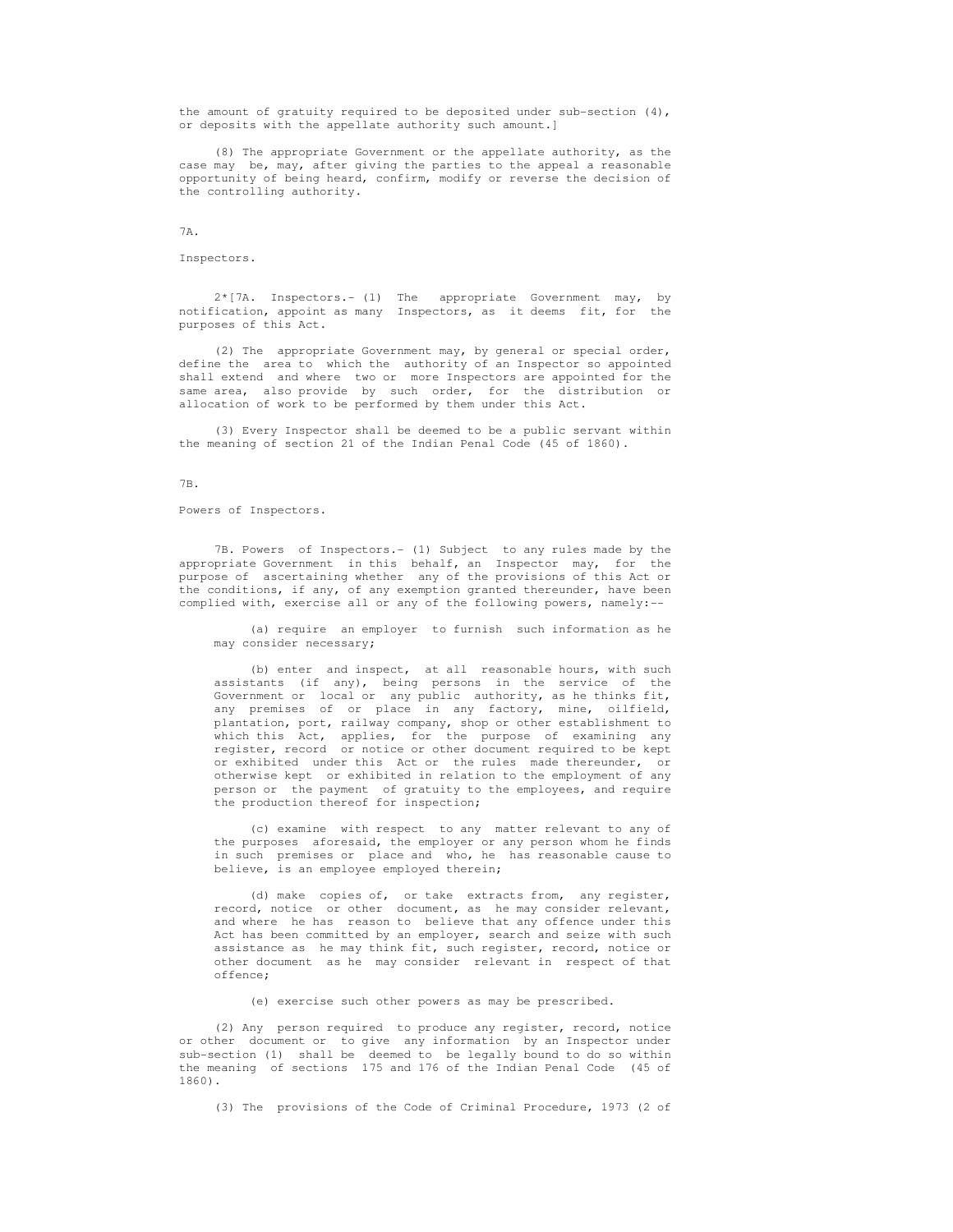the amount of gratuity required to be deposited under sub-section  $(4)$ , or deposits with the appellate authority such amount.]

 (8) The appropriate Government or the appellate authority, as the case may be, may, after giving the parties to the appeal a reasonable opportunity of being heard, confirm, modify or reverse the decision of the controlling authority.

# 7A.

Inspectors.

 2\*[7A. Inspectors.- (1) The appropriate Government may, by notification, appoint as many Inspectors, as it deems fit, for the purposes of this Act.

 (2) The appropriate Government may, by general or special order, define the area to which the authority of an Inspector so appointed shall extend and where two or more Inspectors are appointed for the same area, also provide by such order, for the distribution or allocation of work to be performed by them under this Act.

 (3) Every Inspector shall be deemed to be a public servant within the meaning of section 21 of the Indian Penal Code (45 of 1860).

## 7B.

Powers of Inspectors.

 7B. Powers of Inspectors.- (1) Subject to any rules made by the appropriate Government in this behalf, an Inspector may, for the purpose of ascertaining whether any of the provisions of this Act or the conditions, if any, of any exemption granted thereunder, have been complied with, exercise all or any of the following powers, namely:--

 (a) require an employer to furnish such information as he may consider necessary;

 (b) enter and inspect, at all reasonable hours, with such assistants (if any), being persons in the service of the Government or local or any public authority, as he thinks fit, any premises of or place in any factory, mine, oilfield, plantation, port, railway company, shop or other establishment to which this Act, applies, for the purpose of examining any register, record or notice or other document required to be kept or exhibited under this Act or the rules made thereunder, or otherwise kept or exhibited in relation to the employment of any person or the payment of gratuity to the employees, and require the production thereof for inspection;

 (c) examine with respect to any matter relevant to any of the purposes aforesaid, the employer or any person whom he finds in such premises or place and who, he has reasonable cause to believe, is an employee employed therein;

 (d) make copies of, or take extracts from, any register, record, notice or other document, as he may consider relevant, and where he has reason to believe that any offence under this Act has been committed by an employer, search and seize with such assistance as he may think fit, such register, record, notice or other document as he may consider relevant in respect of that offence;

(e) exercise such other powers as may be prescribed.

 (2) Any person required to produce any register, record, notice or other document or to give any information by an Inspector under sub-section (1) shall be deemed to be legally bound to do so within the meaning of sections 175 and 176 of the Indian Penal Code (45 of 1860).

(3) The provisions of the Code of Criminal Procedure, 1973 (2 of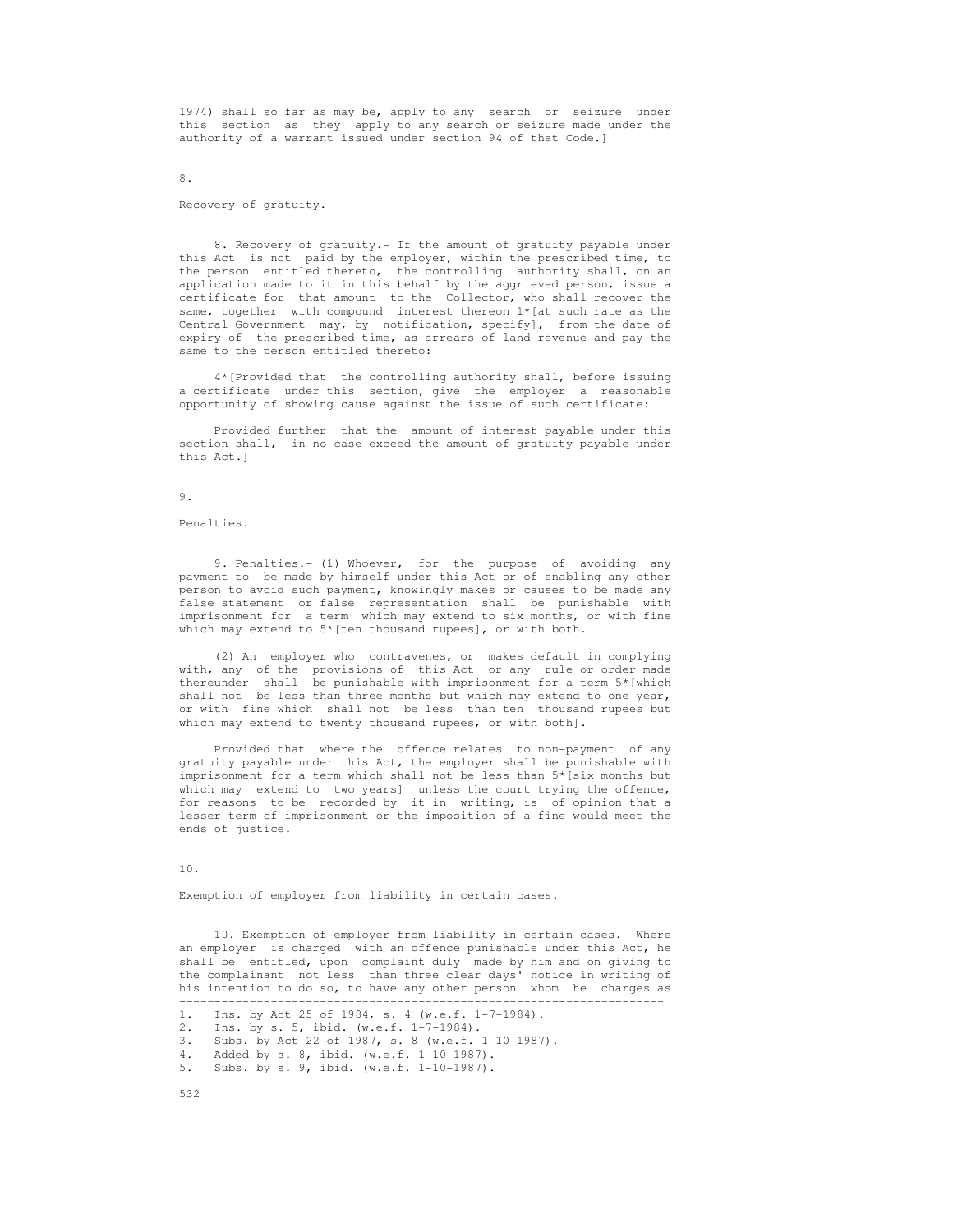1974) shall so far as may be, apply to any search or seizure under this section as they apply to any search or seizure made under the authority of a warrant issued under section 94 of that Code.]

Recovery of gratuity.

8.

8. Recovery of gratuity.- If the amount of gratuity payable under this Act is not paid by the employer, within the prescribed time, to the person entitled thereto, the controlling authority shall, on an application made to it in this behalf by the aggrieved person, issue a certificate for that amount to the Collector, who shall recover the same, together with compound interest thereon 1\*[at such rate as the Central Government may, by notification, specify], from the date of expiry of the prescribed time, as arrears of land revenue and pay the same to the person entitled thereto:

 4\*[Provided that the controlling authority shall, before issuing a certificate under this section, give the employer a reasonable opportunity of showing cause against the issue of such certificate:

 Provided further that the amount of interest payable under this section shall, in no case exceed the amount of gratuity payable under this Act.]

9.

Penalties.

9. Penalties.- (1) Whoever, for the purpose of avoiding any payment to be made by himself under this Act or of enabling any other person to avoid such payment, knowingly makes or causes to be made any false statement or false representation shall be punishable with imprisonment for a term which may extend to six months, or with fine which may extend to 5\*[ten thousand rupees], or with both.

 (2) An employer who contravenes, or makes default in complying with, any of the provisions of this Act or any rule or order made thereunder shall be punishable with imprisonment for a term 5\*[which shall not be less than three months but which may extend to one year, or with fine which shall not be less than ten thousand rupees but which may extend to twenty thousand rupees, or with both].

 Provided that where the offence relates to non-payment of any gratuity payable under this Act, the employer shall be punishable with imprisonment for a term which shall not be less than 5\*[six months but which may extend to two years] unless the court trying the offence, for reasons to be recorded by it in writing, is of opinion that a lesser term of imprisonment or the imposition of a fine would meet the ends of justice.

10.

Exemption of employer from liability in certain cases.

 10. Exemption of employer from liability in certain cases.- Where an employer is charged with an offence punishable under this Act, he shall be entitled, upon complaint duly made by him and on giving to the complainant not less than three clear days' notice in writing of his intention to do so, to have any other person whom he charges as

---------------------------------------------------------------------

 <sup>1.</sup> Ins. by Act 25 of 1984, s. 4 (w.e.f. 1-7-1984).

 <sup>2.</sup> Ins. by s. 5, ibid. (w.e.f. 1-7-1984).

 <sup>3.</sup> Subs. by Act 22 of 1987, s. 8 (w.e.f. 1-10-1987).

<sup>4.</sup> Added by s. 8, ibid. (w.e.f. 1-10-1987).<br>5. Subs. by s. 9, ibid. (w.e.f. 1-10-1987).

Subs. by s. 9, ibid. (w.e.f. 1-10-1987).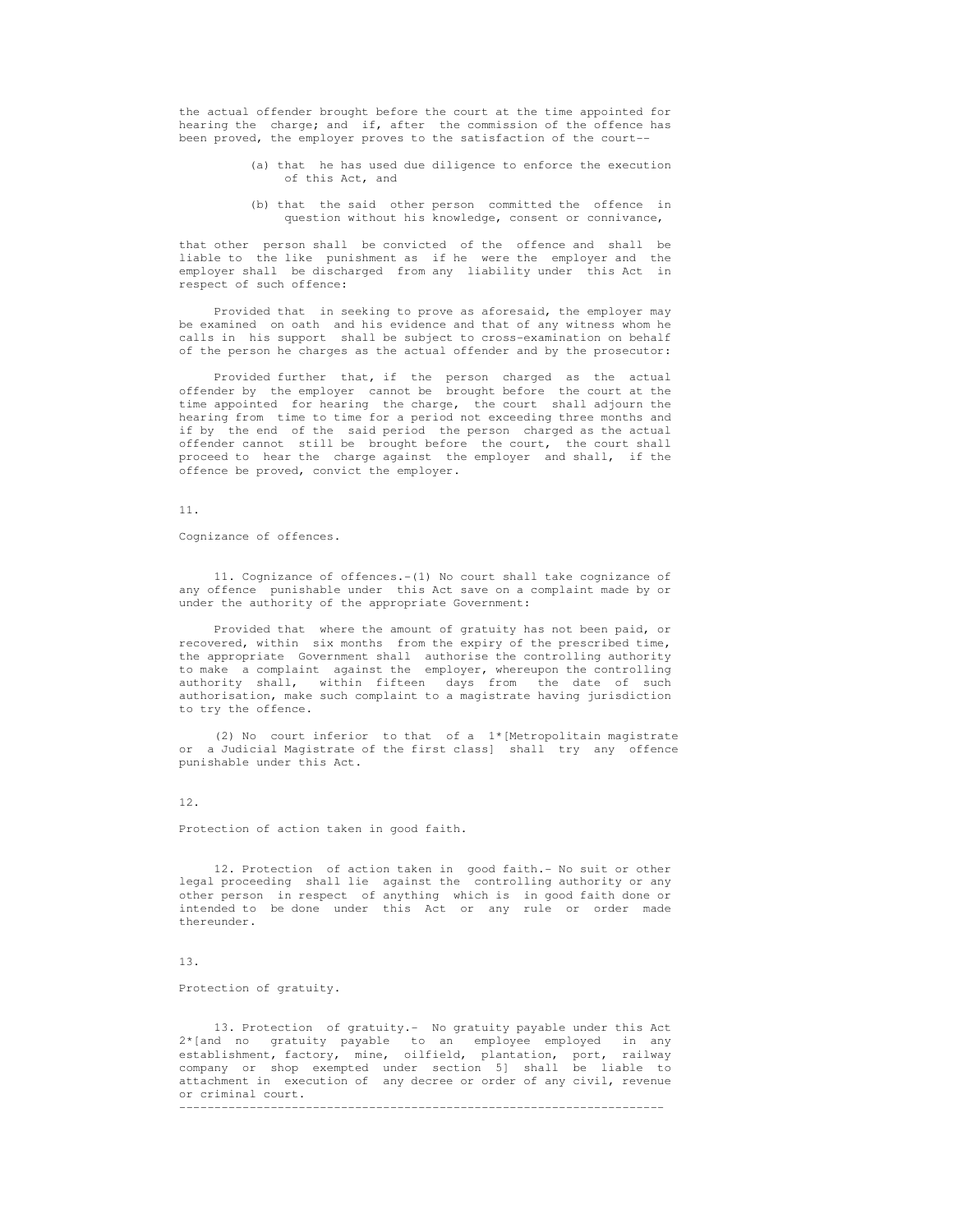the actual offender brought before the court at the time appointed for hearing the charge; and if, after the commission of the offence has been proved, the employer proves to the satisfaction of the court--

- (a) that he has used due diligence to enforce the execution of this Act, and
- (b) that the said other person committed the offence in question without his knowledge, consent or connivance,

 that other person shall be convicted of the offence and shall be liable to the like punishment as if he were the employer and the employer shall be discharged from any liability under this Act in respect of such offence:

 Provided that in seeking to prove as aforesaid, the employer may be examined on oath and his evidence and that of any witness whom he calls in his support shall be subject to cross-examination on behalf of the person he charges as the actual offender and by the prosecutor:

 Provided further that, if the person charged as the actual offender by the employer cannot be brought before the court at the time appointed for hearing the charge, the court shall adjourn the hearing from time to time for a period not exceeding three months and if by the end of the said period the person charged as the actual offender cannot still be brought before the court, the court shall proceed to hear the charge against the employer and shall, if the offence be proved, convict the employer.

### 11.

Cognizance of offences.

 11. Cognizance of offences.-(1) No court shall take cognizance of any offence punishable under this Act save on a complaint made by or under the authority of the appropriate Government:

 Provided that where the amount of gratuity has not been paid, or recovered, within six months from the expiry of the prescribed time, the appropriate Government shall authorise the controlling authority to make a complaint against the employer, whereupon the controlling authority shall, within fifteen days from the date of such authorisation, make such complaint to a magistrate having jurisdiction to try the offence.

(2) No court inferior to that of a  $1*(\text{Metropolis})$  magistrate or a Judicial Magistrate of the first class] shall try any offence punishable under this Act.

12.

Protection of action taken in good faith.

 12. Protection of action taken in good faith.- No suit or other legal proceeding shall lie against the controlling authority or any other person in respect of anything which is in good faith done or intended to be done under this Act or any rule or order made thereunder.

13.

Protection of gratuity.

 13. Protection of gratuity.- No gratuity payable under this Act 2\*[and no gratuity payable to an employee employed in any establishment, factory, mine, oilfield, plantation, port, railway company or shop exempted under section 5] shall be liable to attachment in execution of any decree or order of any civil, revenue or criminal court. ---------------------------------------------------------------------